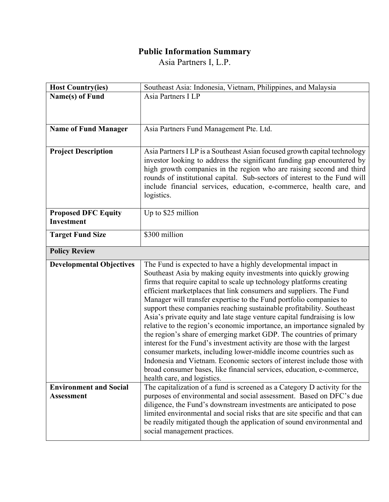## **Public Information Summary**

Asia Partners I, L.P.

| <b>Host Country(ies)</b>                 | Southeast Asia: Indonesia, Vietnam, Philippines, and Malaysia                                                                                        |
|------------------------------------------|------------------------------------------------------------------------------------------------------------------------------------------------------|
| Name(s) of Fund                          | Asia Partners I LP                                                                                                                                   |
|                                          |                                                                                                                                                      |
|                                          |                                                                                                                                                      |
| <b>Name of Fund Manager</b>              | Asia Partners Fund Management Pte. Ltd.                                                                                                              |
|                                          |                                                                                                                                                      |
| <b>Project Description</b>               | Asia Partners I LP is a Southeast Asian focused growth capital technology                                                                            |
|                                          | investor looking to address the significant funding gap encountered by<br>high growth companies in the region who are raising second and third       |
|                                          | rounds of institutional capital. Sub-sectors of interest to the Fund will                                                                            |
|                                          | include financial services, education, e-commerce, health care, and                                                                                  |
|                                          | logistics.                                                                                                                                           |
|                                          |                                                                                                                                                      |
| <b>Proposed DFC Equity</b><br>Investment | Up to \$25 million                                                                                                                                   |
|                                          |                                                                                                                                                      |
| <b>Target Fund Size</b>                  | \$300 million                                                                                                                                        |
| <b>Policy Review</b>                     |                                                                                                                                                      |
|                                          |                                                                                                                                                      |
| <b>Developmental Objectives</b>          | The Fund is expected to have a highly developmental impact in                                                                                        |
|                                          | Southeast Asia by making equity investments into quickly growing                                                                                     |
|                                          | firms that require capital to scale up technology platforms creating                                                                                 |
|                                          | efficient marketplaces that link consumers and suppliers. The Fund                                                                                   |
|                                          | Manager will transfer expertise to the Fund portfolio companies to<br>support these companies reaching sustainable profitability. Southeast          |
|                                          | Asia's private equity and late stage venture capital fundraising is low                                                                              |
|                                          | relative to the region's economic importance, an importance signaled by                                                                              |
|                                          | the region's share of emerging market GDP. The countries of primary                                                                                  |
|                                          | interest for the Fund's investment activity are those with the largest                                                                               |
|                                          | consumer markets, including lower-middle income countries such as<br>Indonesia and Vietnam. Economic sectors of interest include those with          |
|                                          | broad consumer bases, like financial services, education, e-commerce,                                                                                |
|                                          | health care, and logistics.                                                                                                                          |
| <b>Environment and Social</b>            | The capitalization of a fund is screened as a Category D activity for the                                                                            |
| <b>Assessment</b>                        | purposes of environmental and social assessment. Based on DFC's due                                                                                  |
|                                          | diligence, the Fund's downstream investments are anticipated to pose                                                                                 |
|                                          | limited environmental and social risks that are site specific and that can<br>be readily mitigated though the application of sound environmental and |